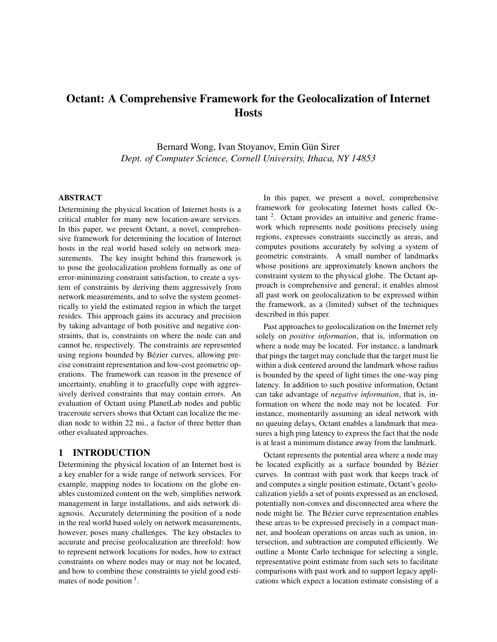# **Octant: A Comprehensive Framework for the Geolocalization of Internet Hosts**

Bernard Wong, Ivan Stoyanov, Emin Gün Sirer *Dept. of Computer Science, Cornell University, Ithaca, NY 14853*

## **ABSTRACT**

Determining the physical location of Internet hosts is a critical enabler for many new location-aware services. In this paper, we present Octant, a novel, comprehensive framework for determining the location of Internet hosts in the real world based solely on network measurements. The key insight behind this framework is to pose the geolocalization problem formally as one of error-minimizing constraint satisfaction, to create a system of constraints by deriving them aggressively from network measurements, and to solve the system geometrically to yield the estimated region in which the target resides. This approach gains its accuracy and precision by taking advantage of both positive and negative constraints, that is, constraints on where the node can and cannot be, respectively. The constraints are represented using regions bounded by Bézier curves, allowing precise constraint representation and low-cost geometric operations. The framework can reason in the presence of uncertainty, enabling it to gracefully cope with aggressively derived constraints that may contain errors. An evaluation of Octant using PlanetLab nodes and public traceroute servers shows that Octant can localize the median node to within 22 mi., a factor of three better than other evaluated approaches.

## **1 INTRODUCTION**

Determining the physical location of an Internet host is a key enabler for a wide range of network services. For example, mapping nodes to locations on the globe enables customized content on the web, simplifies network management in large installations, and aids network diagnosis. Accurately determining the position of a node in the real world based solely on network measurements, however, poses many challenges. The key obstacles to accurate and precise geolocalization are threefold: how to represent network locations for nodes, how to extract constraints on where nodes may or may not be located, and how to combine these constraints to yield good estimates of node position  $<sup>1</sup>$ .</sup>

In this paper, we present a novel, comprehensive framework for geolocating Internet hosts called Oc- $\tan$  2. Octant provides an intuitive and generic framework which represents node positions precisely using regions, expresses constraints succinctly as areas, and computes positions accurately by solving a system of geometric constraints. A small number of landmarks whose positions are approximately known anchors the constraint system to the physical globe. The Octant approach is comprehensive and general; it enables almost all past work on geolocalization to be expressed within the framework, as a (limited) subset of the techniques described in this paper.

Past approaches to geolocalization on the Internet rely solely on *positive information*, that is, information on where a node may be located. For instance, a landmark that pings the target may conclude that the target must lie within a disk centered around the landmark whose radius is bounded by the speed of light times the one-way ping latency. In addition to such positive information, Octant can take advantage of *negative information*, that is, information on where the node may not be located. For instance, momentarily assuming an ideal network with no queuing delays, Octant enables a landmark that measures a high ping latency to express the fact that the node is at least a minimum distance away from the landmark.

Octant represents the potential area where a node may be located explicitly as a surface bounded by Bézier curves. In contrast with past work that keeps track of and computes a single position estimate, Octant's geolocalization yields a set of points expressed as an enclosed, potentially non-convex and disconnected area where the node might lie. The Bézier curve representation enables these areas to be expressed precisely in a compact manner, and boolean operations on areas such as union, intersection, and subtraction are computed efficiently. We outline a Monte Carlo technique for selecting a single, representative point estimate from such sets to facilitate comparisons with past work and to support legacy applications which expect a location estimate consisting of a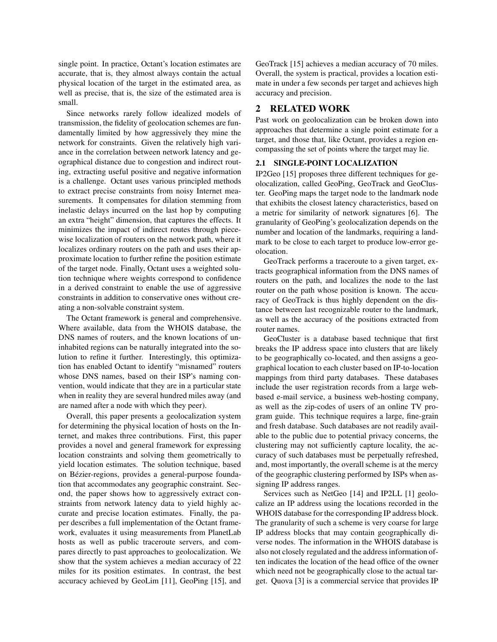single point. In practice, Octant's location estimates are accurate, that is, they almost always contain the actual physical location of the target in the estimated area, as well as precise, that is, the size of the estimated area is small.

Since networks rarely follow idealized models of transmission, the fidelity of geolocation schemes are fundamentally limited by how aggressively they mine the network for constraints. Given the relatively high variance in the correlation between network latency and geographical distance due to congestion and indirect routing, extracting useful positive and negative information is a challenge. Octant uses various principled methods to extract precise constraints from noisy Internet measurements. It compensates for dilation stemming from inelastic delays incurred on the last hop by computing an extra "height" dimension, that captures the effects. It minimizes the impact of indirect routes through piecewise localization of routers on the network path, where it localizes ordinary routers on the path and uses their approximate location to further refine the position estimate of the target node. Finally, Octant uses a weighted solution technique where weights correspond to confidence in a derived constraint to enable the use of aggressive constraints in addition to conservative ones without creating a non-solvable constraint system.

The Octant framework is general and comprehensive. Where available, data from the WHOIS database, the DNS names of routers, and the known locations of uninhabited regions can be naturally integrated into the solution to refine it further. Interestingly, this optimization has enabled Octant to identify "misnamed" routers whose DNS names, based on their ISP's naming convention, would indicate that they are in a particular state when in reality they are several hundred miles away (and are named after a node with which they peer).

Overall, this paper presents a geolocalization system for determining the physical location of hosts on the Internet, and makes three contributions. First, this paper provides a novel and general framework for expressing location constraints and solving them geometrically to yield location estimates. The solution technique, based on Bézier-regions, provides a general-purpose foundation that accommodates any geographic constraint. Second, the paper shows how to aggressively extract constraints from network latency data to yield highly accurate and precise location estimates. Finally, the paper describes a full implementation of the Octant framework, evaluates it using measurements from PlanetLab hosts as well as public traceroute servers, and compares directly to past approaches to geolocalization. We show that the system achieves a median accuracy of 22 miles for its position estimates. In contrast, the best accuracy achieved by GeoLim [11], GeoPing [15], and GeoTrack [15] achieves a median accuracy of 70 miles. Overall, the system is practical, provides a location estimate in under a few seconds per target and achieves high accuracy and precision.

# **2 RELATED WORK**

Past work on geolocalization can be broken down into approaches that determine a single point estimate for a target, and those that, like Octant, provides a region encompassing the set of points where the target may lie.

## **2.1 SINGLE-POINT LOCALIZATION**

IP2Geo [15] proposes three different techniques for geolocalization, called GeoPing, GeoTrack and GeoCluster. GeoPing maps the target node to the landmark node that exhibits the closest latency characteristics, based on a metric for similarity of network signatures [6]. The granularity of GeoPing's geolocalization depends on the number and location of the landmarks, requiring a landmark to be close to each target to produce low-error geolocation.

GeoTrack performs a traceroute to a given target, extracts geographical information from the DNS names of routers on the path, and localizes the node to the last router on the path whose position is known. The accuracy of GeoTrack is thus highly dependent on the distance between last recognizable router to the landmark, as well as the accuracy of the positions extracted from router names.

GeoCluster is a database based technique that first breaks the IP address space into clusters that are likely to be geographically co-located, and then assigns a geographical location to each cluster based on IP-to-location mappings from third party databases. These databases include the user registration records from a large webbased e-mail service, a business web-hosting company, as well as the zip-codes of users of an online TV program guide. This technique requires a large, fine-grain and fresh database. Such databases are not readily available to the public due to potential privacy concerns, the clustering may not sufficiently capture locality, the accuracy of such databases must be perpetually refreshed, and, most importantly, the overall scheme is at the mercy of the geographic clustering performed by ISPs when assigning IP address ranges.

Services such as NetGeo [14] and IP2LL [1] geolocalize an IP address using the locations recorded in the WHOIS database for the corresponding IP address block. The granularity of such a scheme is very coarse for large IP address blocks that may contain geographically diverse nodes. The information in the WHOIS database is also not closely regulated and the address information often indicates the location of the head office of the owner which need not be geographically close to the actual target. Quova [3] is a commercial service that provides IP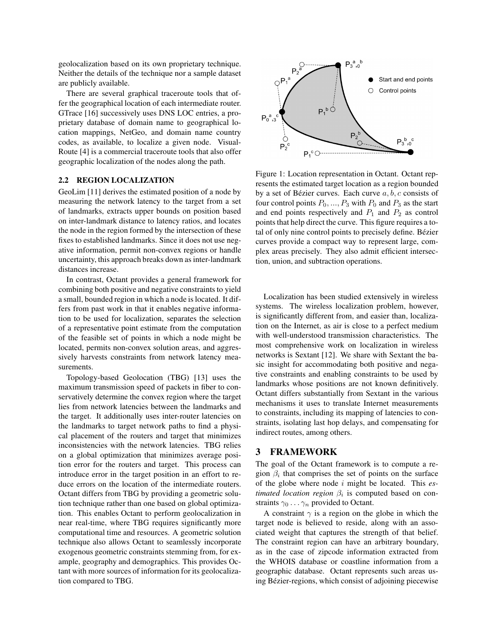geolocalization based on its own proprietary technique. Neither the details of the technique nor a sample dataset are publicly available.

There are several graphical traceroute tools that offer the geographical location of each intermediate router. GTrace [16] successively uses DNS LOC entries, a proprietary database of domain name to geographical location mappings, NetGeo, and domain name country codes, as available, to localize a given node. Visual-Route [4] is a commercial traceroute tools that also offer geographic localization of the nodes along the path.

## **2.2 REGION LOCALIZATION**

GeoLim [11] derives the estimated position of a node by measuring the network latency to the target from a set of landmarks, extracts upper bounds on position based on inter-landmark distance to latency ratios, and locates the node in the region formed by the intersection of these fixes to established landmarks. Since it does not use negative information, permit non-convex regions or handle uncertainty, this approach breaks down as inter-landmark distances increase.

In contrast, Octant provides a general framework for combining both positive and negative constraints to yield a small, bounded region in which a node is located. It differs from past work in that it enables negative information to be used for localization, separates the selection of a representative point estimate from the computation of the feasible set of points in which a node might be located, permits non-convex solution areas, and aggressively harvests constraints from network latency measurements.

Topology-based Geolocation (TBG) [13] uses the maximum transmission speed of packets in fiber to conservatively determine the convex region where the target lies from network latencies between the landmarks and the target. It additionally uses inter-router latencies on the landmarks to target network paths to find a physical placement of the routers and target that minimizes inconsistencies with the network latencies. TBG relies on a global optimization that minimizes average position error for the routers and target. This process can introduce error in the target position in an effort to reduce errors on the location of the intermediate routers. Octant differs from TBG by providing a geometric solution technique rather than one based on global optimization. This enables Octant to perform geolocalization in near real-time, where TBG requires significantly more computational time and resources. A geometric solution technique also allows Octant to seamlessly incorporate exogenous geometric constraints stemming from, for example, geography and demographics. This provides Octant with more sources of information for its geolocalization compared to TBG.



Figure 1: Location representation in Octant. Octant represents the estimated target location as a region bounded by a set of Bézier curves. Each curve  $a, b, c$  consists of four control points  $P_0, ..., P_3$  with  $P_0$  and  $P_3$  as the start and end points respectively and  $P_1$  and  $P_2$  as control points that help direct the curve. This figure requires a total of only nine control points to precisely define. Bézier curves provide a compact way to represent large, complex areas precisely. They also admit efficient intersection, union, and subtraction operations.

Localization has been studied extensively in wireless systems. The wireless localization problem, however, is significantly different from, and easier than, localization on the Internet, as air is close to a perfect medium with well-understood transmission characteristics. The most comprehensive work on localization in wireless networks is Sextant [12]. We share with Sextant the basic insight for accommodating both positive and negative constraints and enabling constraints to be used by landmarks whose positions are not known definitively. Octant differs substantially from Sextant in the various mechanisms it uses to translate Internet measurements to constraints, including its mapping of latencies to constraints, isolating last hop delays, and compensating for indirect routes, among others.

# **3 FRAMEWORK**

The goal of the Octant framework is to compute a region  $\beta_i$  that comprises the set of points on the surface of the globe where node i might be located. This *estimated location region*  $\beta_i$  is computed based on constraints  $\gamma_0 \dots \gamma_n$  provided to Octant.

A constraint  $\gamma$  is a region on the globe in which the target node is believed to reside, along with an associated weight that captures the strength of that belief. The constraint region can have an arbitrary boundary, as in the case of zipcode information extracted from the WHOIS database or coastline information from a geographic database. Octant represents such areas using Bézier-regions, which consist of adjoining piecewise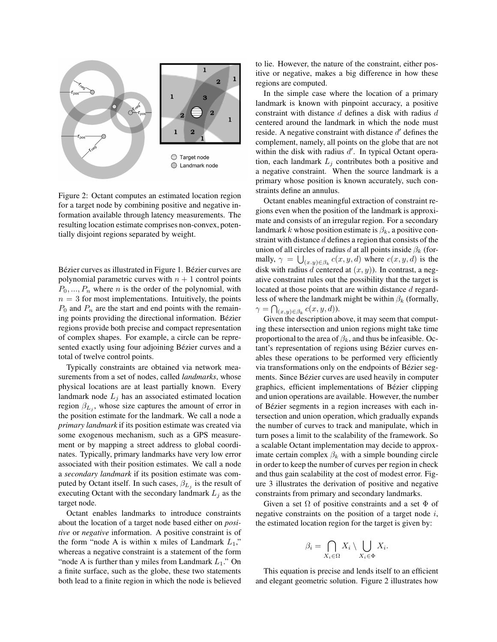

Figure 2: Octant computes an estimated location region for a target node by combining positive and negative information available through latency measurements. The resulting location estimate comprises non-convex, potentially disjoint regions separated by weight.

Bézier curves as illustrated in Figure 1. Bézier curves are polynomial parametric curves with  $n + 1$  control points  $P_0, ..., P_n$  where *n* is the order of the polynomial, with  $n = 3$  for most implementations. Intuitively, the points  $P_0$  and  $P_n$  are the start and end points with the remaining points providing the directional information. Bézier regions provide both precise and compact representation of complex shapes. For example, a circle can be represented exactly using four adjoining Bézier curves and a total of twelve control points.

Typically constraints are obtained via network measurements from a set of nodes, called *landmarks*, whose physical locations are at least partially known. Every landmark node  $L_j$  has an associated estimated location region  $\beta_{L_j}$ , whose size captures the amount of error in the position estimate for the landmark. We call a node a *primary landmark* if its position estimate was created via some exogenous mechanism, such as a GPS measurement or by mapping a street address to global coordinates. Typically, primary landmarks have very low error associated with their position estimates. We call a node a *secondary landmark* if its position estimate was computed by Octant itself. In such cases,  $\beta_{L_j}$  is the result of executing Octant with the secondary landmark  $L_j$  as the target node.

Octant enables landmarks to introduce constraints about the location of a target node based either on *positive* or *negative* information. A positive constraint is of the form "node A is within x miles of Landmark  $L_1$ ," whereas a negative constraint is a statement of the form "node A is further than y miles from Landmark  $L_1$ ." On a finite surface, such as the globe, these two statements both lead to a finite region in which the node is believed to lie. However, the nature of the constraint, either positive or negative, makes a big difference in how these regions are computed.

In the simple case where the location of a primary landmark is known with pinpoint accuracy, a positive constraint with distance d defines a disk with radius d centered around the landmark in which the node must reside. A negative constraint with distance  $d'$  defines the complement, namely, all points on the globe that are not within the disk with radius  $d'$ . In typical Octant operation, each landmark  $L_i$  contributes both a positive and a negative constraint. When the source landmark is a primary whose position is known accurately, such constraints define an annulus.

Octant enables meaningful extraction of constraint regions even when the position of the landmark is approximate and consists of an irregular region. For a secondary landmark k whose position estimate is  $\beta_k$ , a positive constraint with distance  $d$  defines a region that consists of the union of all circles of radius d at all points inside  $\beta_k$  (formally,  $\gamma = \bigcup_{(x,y)\in\beta_k} c(x,y,d)$  where  $c(x,y,d)$  is the disk with radius d centered at  $(x, y)$ ). In contrast, a negative constraint rules out the possibility that the target is located at those points that are within distance d regardless of where the landmark might be within  $\beta_k$  (formally,  $\gamma = \bigcap_{(x,y)\in\beta_k} c(x,y,d).$ 

Given the description above, it may seem that computing these intersection and union regions might take time proportional to the area of  $\beta_k$ , and thus be infeasible. Octant's representation of regions using Bézier curves enables these operations to be performed very efficiently via transformations only on the endpoints of Bézier segments. Since Bézier curves are used heavily in computer graphics, efficient implementations of Bézier clipping and union operations are available. However, the number of Bézier segments in a region increases with each intersection and union operation, which gradually expands the number of curves to track and manipulate, which in turn poses a limit to the scalability of the framework. So a scalable Octant implementation may decide to approximate certain complex  $\beta_k$  with a simple bounding circle in order to keep the number of curves per region in check and thus gain scalability at the cost of modest error. Figure 3 illustrates the derivation of positive and negative constraints from primary and secondary landmarks.

Given a set  $\Omega$  of positive constraints and a set  $\Phi$  of negative constraints on the position of a target node  $i$ , the estimated location region for the target is given by:

$$
\beta_i = \bigcap_{X_i \in \Omega} X_i \setminus \bigcup_{X_i \in \Phi} X_i.
$$

This equation is precise and lends itself to an efficient and elegant geometric solution. Figure 2 illustrates how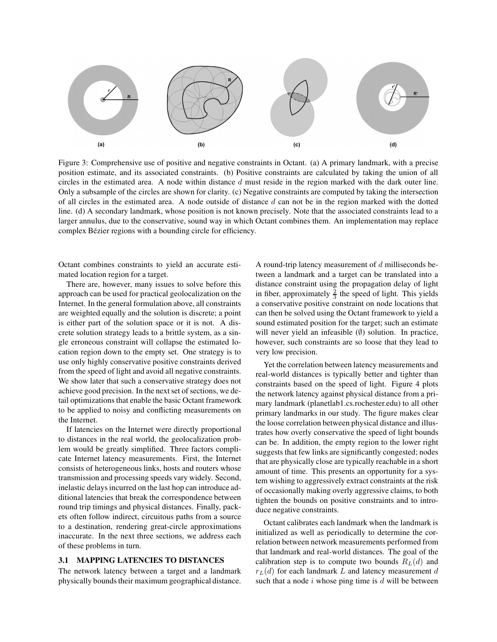

Figure 3: Comprehensive use of positive and negative constraints in Octant. (a) A primary landmark, with a precise position estimate, and its associated constraints. (b) Positive constraints are calculated by taking the union of all circles in the estimated area. A node within distance  $d$  must reside in the region marked with the dark outer line. Only a subsample of the circles are shown for clarity. (c) Negative constraints are computed by taking the intersection of all circles in the estimated area. A node outside of distance  $d$  can not be in the region marked with the dotted line. (d) A secondary landmark, whose position is not known precisely. Note that the associated constraints lead to a larger annulus, due to the conservative, sound way in which Octant combines them. An implementation may replace complex Bézier regions with a bounding circle for efficiency.

Octant combines constraints to yield an accurate estimated location region for a target.

There are, however, many issues to solve before this approach can be used for practical geolocalization on the Internet. In the general formulation above, all constraints are weighted equally and the solution is discrete; a point is either part of the solution space or it is not. A discrete solution strategy leads to a brittle system, as a single erroneous constraint will collapse the estimated location region down to the empty set. One strategy is to use only highly conservative positive constraints derived from the speed of light and avoid all negative constraints. We show later that such a conservative strategy does not achieve good precision. In the next set of sections, we detail optimizations that enable the basic Octant framework to be applied to noisy and conflicting measurements on the Internet.

If latencies on the Internet were directly proportional to distances in the real world, the geolocalization problem would be greatly simplified. Three factors complicate Internet latency measurements. First, the Internet consists of heterogeneous links, hosts and routers whose transmission and processing speeds vary widely. Second, inelastic delays incurred on the last hop can introduce additional latencies that break the correspondence between round trip timings and physical distances. Finally, packets often follow indirect, circuitous paths from a source to a destination, rendering great-circle approximations inaccurate. In the next three sections, we address each of these problems in turn.

#### **3.1 MAPPING LATENCIES TO DISTANCES**

The network latency between a target and a landmark physically bounds their maximum geographical distance. A round-trip latency measurement of d milliseconds between a landmark and a target can be translated into a distance constraint using the propagation delay of light in fiber, approximately  $\frac{2}{3}$  the speed of light. This yields a conservative positive constraint on node locations that can then be solved using the Octant framework to yield a sound estimated position for the target; such an estimate will never yield an infeasible  $(\emptyset)$  solution. In practice, however, such constraints are so loose that they lead to very low precision.

Yet the correlation between latency measurements and real-world distances is typically better and tighter than constraints based on the speed of light. Figure 4 plots the network latency against physical distance from a primary landmark (planetlab1.cs.rochester.edu) to all other primary landmarks in our study. The figure makes clear the loose correlation between physical distance and illustrates how overly conservative the speed of light bounds can be. In addition, the empty region to the lower right suggests that few links are significantly congested; nodes that are physically close are typically reachable in a short amount of time. This presents an opportunity for a system wishing to aggressively extract constraints at the risk of occasionally making overly aggressive claims, to both tighten the bounds on positive constraints and to introduce negative constraints.

Octant calibrates each landmark when the landmark is initialized as well as periodically to determine the correlation between network measurements performed from that landmark and real-world distances. The goal of the calibration step is to compute two bounds  $R_L(d)$  and  $r_L(d)$  for each landmark L and latency measurement d such that a node  $i$  whose ping time is  $d$  will be between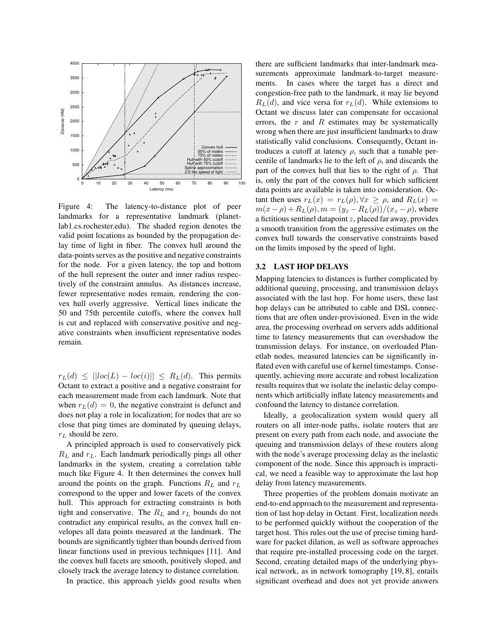

Figure 4: The latency-to-distance plot of peer landmarks for a representative landmark (planetlab1.cs.rochester.edu). The shaded region denotes the valid point locations as bounded by the propagation delay time of light in fiber. The convex hull around the data-points serves as the positive and negative constraints for the node. For a given latency, the top and bottom of the hull represent the outer and inner radius respectively of the constraint annulus. As distances increase, fewer representative nodes remain, rendering the convex hull overly aggressive. Vertical lines indicate the 50 and 75th percentile cutoffs, where the convex hull is cut and replaced with conservative positive and negative constraints when insufficient representative nodes remain.

 $r_L(d) \leq ||loc(L) - loc(i)|| \leq R_L(d)$ . This permits Octant to extract a positive and a negative constraint for each measurement made from each landmark. Note that when  $r<sub>L</sub>(d) = 0$ , the negative constraint is defunct and does not play a role in localization; for nodes that are so close that ping times are dominated by queuing delays,  $r<sub>L</sub>$  should be zero.

A principled approach is used to conservatively pick  $R_L$  and  $r_L$ . Each landmark periodically pings all other landmarks in the system, creating a correlation table much like Figure 4. It then determines the convex hull around the points on the graph. Functions  $R_L$  and  $r_L$ correspond to the upper and lower facets of the convex hull. This approach for extracting constraints is both tight and conservative. The  $R_L$  and  $r_L$  bounds do not contradict any empirical results, as the convex hull envelopes all data points measured at the landmark. The bounds are significantly tighter than bounds derived from linear functions used in previous techniques [11]. And the convex hull facets are smooth, positively sloped, and closely track the average latency to distance correlation.

In practice, this approach yields good results when

there are sufficient landmarks that inter-landmark measurements approximate landmark-to-target measurements. In cases where the target has a direct and congestion-free path to the landmark, it may lie beyond  $R_L(d)$ , and vice versa for  $r_L(d)$ . While extensions to Octant we discuss later can compensate for occasional errors, the  $r$  and  $R$  estimates may be systematically wrong when there are just insufficient landmarks to draw statistically valid conclusions. Consequently, Octant introduces a cutoff at latency  $\rho$ , such that a tunable percentile of landmarks lie to the left of  $\rho$ , and discards the part of the convex hull that lies to the right of  $\rho$ . That is, only the part of the convex hull for which sufficient data points are available is taken into consideration. Octant then uses  $r_L(x) = r_L(\rho), \forall x \ge \rho$ , and  $R_L(x) =$  $m(x - \rho) + R_L(\rho), m = (y_z - R_L(\rho))/(x_z - \rho)$ , where a fictitious sentinel datapoint  $z$ , placed far away, provides a smooth transition from the aggressive estimates on the convex hull towards the conservative constraints based on the limits imposed by the speed of light.

## **3.2 LAST HOP DELAYS**

Mapping latencies to distances is further complicated by additional queuing, processing, and transmission delays associated with the last hop. For home users, these last hop delays can be attributed to cable and DSL connections that are often under-provisioned. Even in the wide area, the processing overhead on servers adds additional time to latency measurements that can overshadow the transmission delays. For instance, on overloaded Planetlab nodes, measured latencies can be significantly inflated even with careful use of kernel timestamps. Consequently, achieving more accurate and robust localization results requires that we isolate the inelastic delay components which artificially inflate latency measurements and confound the latency to distance correlation.

Ideally, a geolocalization system would query all routers on all inter-node paths, isolate routers that are present on every path from each node, and associate the queuing and transmission delays of these routers along with the node's average processing delay as the inelastic component of the node. Since this approach is impractical, we need a feasible way to approximate the last hop delay from latency measurements.

Three properties of the problem domain motivate an end-to-end approach to the measurement and representation of last hop delay in Octant. First, localization needs to be performed quickly without the cooperation of the target host. This rules out the use of precise timing hardware for packet dilation, as well as software approaches that require pre-installed processing code on the target. Second, creating detailed maps of the underlying physical network, as in network tomography [19, 8], entails significant overhead and does not yet provide answers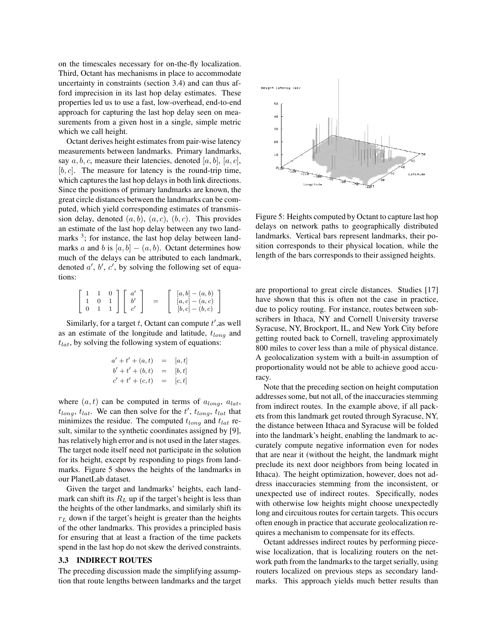on the timescales necessary for on-the-fly localization. Third, Octant has mechanisms in place to accommodate uncertainty in constraints (section 3.4) and can thus afford imprecision in its last hop delay estimates. These properties led us to use a fast, low-overhead, end-to-end approach for capturing the last hop delay seen on measurements from a given host in a single, simple metric which we call height.

Octant derives height estimates from pair-wise latency measurements between landmarks. Primary landmarks, say  $a, b, c$ , measure their latencies, denoted [a, b], [a, c],  $[b, c]$ . The measure for latency is the round-trip time, which captures the last hop delays in both link directions. Since the positions of primary landmarks are known, the great circle distances between the landmarks can be computed, which yield corresponding estimates of transmission delay, denoted  $(a, b)$ ,  $(a, c)$ ,  $(b, c)$ . This provides an estimate of the last hop delay between any two landmarks<sup>3</sup>; for instance, the last hop delay between landmarks a and b is  $[a, b] - (a, b)$ . Octant determines how much of the delays can be attributed to each landmark, denoted  $a'$ ,  $b'$ ,  $c'$ , by solving the following set of equations:

|  |             |                                                                                       | $[a,b] - (a,b)$   |
|--|-------------|---------------------------------------------------------------------------------------|-------------------|
|  | $0 \quad 1$ | $\begin{bmatrix} 1 & 0 \\ 0 & 1 \end{bmatrix} \begin{bmatrix} a' \\ b' \end{bmatrix}$ | $[a, c] - (a, c)$ |
|  |             | $\begin{array}{ c c c c c c c c } \hline 0 & 1 & 1 & c' \ \hline \end{array}$         | $[b, c] - (b, c)$ |

Similarly, for a target  $t$ , Octant can compute  $t'$ , as well as an estimate of the longitude and latitude,  $t_{long}$  and  $t_{lat}$ , by solving the following system of equations:

$$
a' + t' + (a, t) = [a, t] b' + t' + (b, t) = [b, t] c' + t' + (c, t) = [c, t]
$$

where  $(a, t)$  can be computed in terms of  $a_{lona}$ ,  $a_{lat}$ ,  $t_{long}$ ,  $t_{lat}$ . We can then solve for the  $t'$ ,  $t_{long}$ ,  $t_{lat}$  that minimizes the residue. The computed  $t_{long}$  and  $t_{lat}$  result, similar to the synthetic coordinates assigned by [9], has relatively high error and is not used in the later stages. The target node itself need not participate in the solution for its height, except by responding to pings from landmarks. Figure 5 shows the heights of the landmarks in our PlanetLab dataset.

Given the target and landmarks' heights, each landmark can shift its  $R_L$  up if the target's height is less than the heights of the other landmarks, and similarly shift its  $r<sub>L</sub>$  down if the target's height is greater than the heights of the other landmarks. This provides a principled basis for ensuring that at least a fraction of the time packets spend in the last hop do not skew the derived constraints.

#### **3.3 INDIRECT ROUTES**

The preceding discussion made the simplifying assumption that route lengths between landmarks and the target



Figure 5: Heights computed by Octant to capture last hop delays on network paths to geographically distributed landmarks. Vertical bars represent landmarks, their position corresponds to their physical location, while the length of the bars corresponds to their assigned heights.

are proportional to great circle distances. Studies [17] have shown that this is often not the case in practice, due to policy routing. For instance, routes between subscribers in Ithaca, NY and Cornell University traverse Syracuse, NY, Brockport, IL, and New York City before getting routed back to Cornell, traveling approximately 800 miles to cover less than a mile of physical distance. A geolocalization system with a built-in assumption of proportionality would not be able to achieve good accuracy.

Note that the preceding section on height computation addresses some, but not all, of the inaccuracies stemming from indirect routes. In the example above, if all packets from this landmark get routed through Syracuse, NY, the distance between Ithaca and Syracuse will be folded into the landmark's height, enabling the landmark to accurately compute negative information even for nodes that are near it (without the height, the landmark might preclude its next door neighbors from being located in Ithaca). The height optimization, however, does not address inaccuracies stemming from the inconsistent, or unexpected use of indirect routes. Specifically, nodes with otherwise low heights might choose unexpectedly long and circuitous routes for certain targets. This occurs often enough in practice that accurate geolocalization requires a mechanism to compensate for its effects.

Octant addresses indirect routes by performing piecewise localization, that is localizing routers on the network path from the landmarks to the target serially, using routers localized on previous steps as secondary landmarks. This approach yields much better results than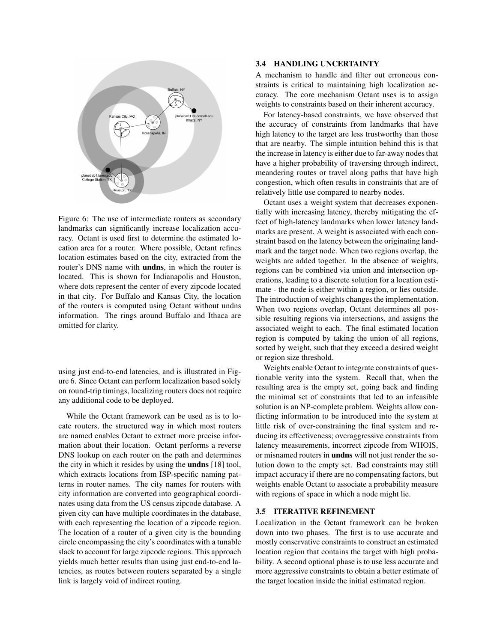

Figure 6: The use of intermediate routers as secondary landmarks can significantly increase localization accuracy. Octant is used first to determine the estimated location area for a router. Where possible, Octant refines location estimates based on the city, extracted from the router's DNS name with **undns**, in which the router is located. This is shown for Indianapolis and Houston, where dots represent the center of every zipcode located in that city. For Buffalo and Kansas City, the location of the routers is computed using Octant without undns information. The rings around Buffalo and Ithaca are omitted for clarity.

using just end-to-end latencies, and is illustrated in Figure 6. Since Octant can perform localization based solely on round-trip timings, localizing routers does not require any additional code to be deployed.

While the Octant framework can be used as is to locate routers, the structured way in which most routers are named enables Octant to extract more precise information about their location. Octant performs a reverse DNS lookup on each router on the path and determines the city in which it resides by using the **undns** [18] tool, which extracts locations from ISP-specific naming patterns in router names. The city names for routers with city information are converted into geographical coordinates using data from the US census zipcode database. A given city can have multiple coordinates in the database, with each representing the location of a zipcode region. The location of a router of a given city is the bounding circle encompassing the city's coordinates with a tunable slack to account for large zipcode regions. This approach yields much better results than using just end-to-end latencies, as routes between routers separated by a single link is largely void of indirect routing.

#### **3.4 HANDLING UNCERTAINTY**

A mechanism to handle and filter out erroneous constraints is critical to maintaining high localization accuracy. The core mechanism Octant uses is to assign weights to constraints based on their inherent accuracy.

For latency-based constraints, we have observed that the accuracy of constraints from landmarks that have high latency to the target are less trustworthy than those that are nearby. The simple intuition behind this is that the increase in latency is either due to far-away nodes that have a higher probability of traversing through indirect, meandering routes or travel along paths that have high congestion, which often results in constraints that are of relatively little use compared to nearby nodes.

Octant uses a weight system that decreases exponentially with increasing latency, thereby mitigating the effect of high-latency landmarks when lower latency landmarks are present. A weight is associated with each constraint based on the latency between the originating landmark and the target node. When two regions overlap, the weights are added together. In the absence of weights, regions can be combined via union and intersection operations, leading to a discrete solution for a location estimate - the node is either within a region, or lies outside. The introduction of weights changes the implementation. When two regions overlap, Octant determines all possible resulting regions via intersections, and assigns the associated weight to each. The final estimated location region is computed by taking the union of all regions, sorted by weight, such that they exceed a desired weight or region size threshold.

Weights enable Octant to integrate constraints of questionable verity into the system. Recall that, when the resulting area is the empty set, going back and finding the minimal set of constraints that led to an infeasible solution is an NP-complete problem. Weights allow conflicting information to be introduced into the system at little risk of over-constraining the final system and reducing its effectiveness; overaggressive constraints from latency measurements, incorrect zipcode from WHOIS, or misnamed routers in **undns** will not just render the solution down to the empty set. Bad constraints may still impact accuracy if there are no compensating factors, but weights enable Octant to associate a probability measure with regions of space in which a node might lie.

#### **3.5 ITERATIVE REFINEMENT**

Localization in the Octant framework can be broken down into two phases. The first is to use accurate and mostly conservative constraints to construct an estimated location region that contains the target with high probability. A second optional phase is to use less accurate and more aggressive constraints to obtain a better estimate of the target location inside the initial estimated region.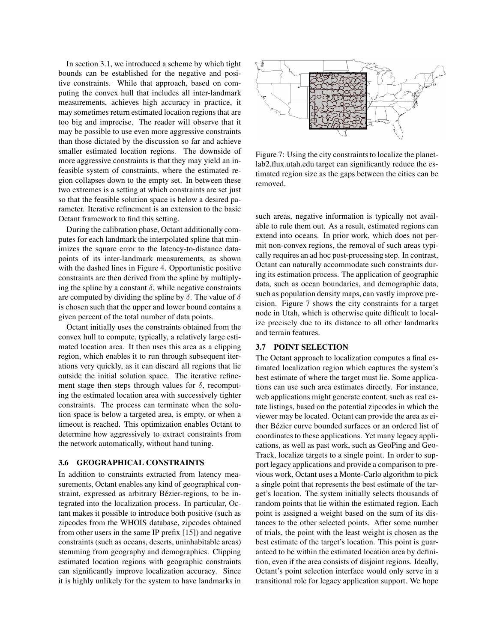In section 3.1, we introduced a scheme by which tight bounds can be established for the negative and positive constraints. While that approach, based on computing the convex hull that includes all inter-landmark measurements, achieves high accuracy in practice, it may sometimes return estimated location regions that are too big and imprecise. The reader will observe that it may be possible to use even more aggressive constraints than those dictated by the discussion so far and achieve smaller estimated location regions. The downside of more aggressive constraints is that they may yield an infeasible system of constraints, where the estimated region collapses down to the empty set. In between these two extremes is a setting at which constraints are set just so that the feasible solution space is below a desired parameter. Iterative refinement is an extension to the basic Octant framework to find this setting.

During the calibration phase, Octant additionally computes for each landmark the interpolated spline that minimizes the square error to the latency-to-distance datapoints of its inter-landmark measurements, as shown with the dashed lines in Figure 4. Opportunistic positive constraints are then derived from the spline by multiplying the spline by a constant  $\delta$ , while negative constraints are computed by dividing the spline by  $\delta$ . The value of  $\delta$ is chosen such that the upper and lower bound contains a given percent of the total number of data points.

Octant initially uses the constraints obtained from the convex hull to compute, typically, a relatively large estimated location area. It then uses this area as a clipping region, which enables it to run through subsequent iterations very quickly, as it can discard all regions that lie outside the initial solution space. The iterative refinement stage then steps through values for  $\delta$ , recomputing the estimated location area with successively tighter constraints. The process can terminate when the solution space is below a targeted area, is empty, or when a timeout is reached. This optimization enables Octant to determine how aggressively to extract constraints from the network automatically, without hand tuning.

#### **3.6 GEOGRAPHICAL CONSTRAINTS**

In addition to constraints extracted from latency measurements, Octant enables any kind of geographical constraint, expressed as arbitrary Bézier-regions, to be integrated into the localization process. In particular, Octant makes it possible to introduce both positive (such as zipcodes from the WHOIS database, zipcodes obtained from other users in the same IP prefix [15]) and negative constraints (such as oceans, deserts, uninhabitable areas) stemming from geography and demographics. Clipping estimated location regions with geographic constraints can significantly improve localization accuracy. Since it is highly unlikely for the system to have landmarks in



Figure 7: Using the city constraints to localize the planetlab2.flux.utah.edu target can significantly reduce the estimated region size as the gaps between the cities can be removed.

such areas, negative information is typically not available to rule them out. As a result, estimated regions can extend into oceans. In prior work, which does not permit non-convex regions, the removal of such areas typically requires an ad hoc post-processing step. In contrast, Octant can naturally accommodate such constraints during its estimation process. The application of geographic data, such as ocean boundaries, and demographic data, such as population density maps, can vastly improve precision. Figure 7 shows the city constraints for a target node in Utah, which is otherwise quite difficult to localize precisely due to its distance to all other landmarks and terrain features.

## **3.7 POINT SELECTION**

The Octant approach to localization computes a final estimated localization region which captures the system's best estimate of where the target must lie. Some applications can use such area estimates directly. For instance, web applications might generate content, such as real estate listings, based on the potential zipcodes in which the viewer may be located. Octant can provide the area as either Bézier curve bounded surfaces or an ordered list of coordinates to these applications. Yet many legacy applications, as well as past work, such as GeoPing and Geo-Track, localize targets to a single point. In order to support legacy applications and provide a comparison to previous work, Octant uses a Monte-Carlo algorithm to pick a single point that represents the best estimate of the target's location. The system initially selects thousands of random points that lie within the estimated region. Each point is assigned a weight based on the sum of its distances to the other selected points. After some number of trials, the point with the least weight is chosen as the best estimate of the target's location. This point is guaranteed to be within the estimated location area by definition, even if the area consists of disjoint regions. Ideally, Octant's point selection interface would only serve in a transitional role for legacy application support. We hope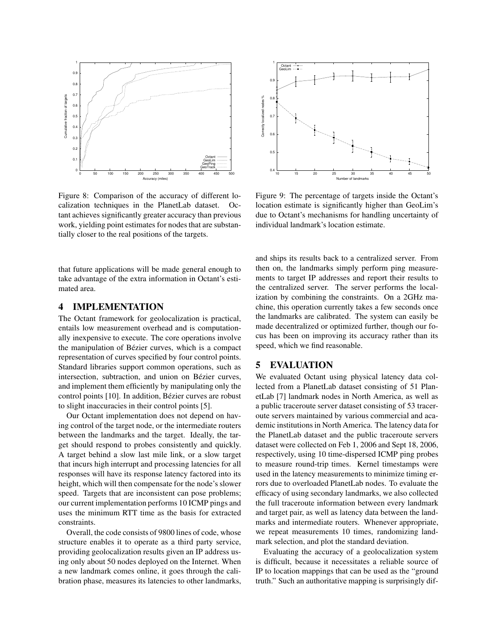

Figure 8: Comparison of the accuracy of different localization techniques in the PlanetLab dataset. Octant achieves significantly greater accuracy than previous work, yielding point estimates for nodes that are substantially closer to the real positions of the targets.

that future applications will be made general enough to take advantage of the extra information in Octant's estimated area.

# **4 IMPLEMENTATION**

The Octant framework for geolocalization is practical, entails low measurement overhead and is computationally inexpensive to execute. The core operations involve the manipulation of Bézier curves, which is a compact representation of curves specified by four control points. Standard libraries support common operations, such as intersection, subtraction, and union on Bézier curves, and implement them efficiently by manipulating only the control points [10]. In addition, Bézier curves are robust to slight inaccuracies in their control points [5].

Our Octant implementation does not depend on having control of the target node, or the intermediate routers between the landmarks and the target. Ideally, the target should respond to probes consistently and quickly. A target behind a slow last mile link, or a slow target that incurs high interrupt and processing latencies for all responses will have its response latency factored into its height, which will then compensate for the node's slower speed. Targets that are inconsistent can pose problems; our current implementation performs 10 ICMP pings and uses the minimum RTT time as the basis for extracted constraints.

Overall, the code consists of 9800 lines of code, whose structure enables it to operate as a third party service, providing geolocalization results given an IP address using only about 50 nodes deployed on the Internet. When a new landmark comes online, it goes through the calibration phase, measures its latencies to other landmarks,



Figure 9: The percentage of targets inside the Octant's location estimate is significantly higher than GeoLim's due to Octant's mechanisms for handling uncertainty of individual landmark's location estimate.

and ships its results back to a centralized server. From then on, the landmarks simply perform ping measurements to target IP addresses and report their results to the centralized server. The server performs the localization by combining the constraints. On a 2GHz machine, this operation currently takes a few seconds once the landmarks are calibrated. The system can easily be made decentralized or optimized further, though our focus has been on improving its accuracy rather than its speed, which we find reasonable.

# **5 EVALUATION**

We evaluated Octant using physical latency data collected from a PlanetLab dataset consisting of 51 PlanetLab [7] landmark nodes in North America, as well as a public traceroute server dataset consisting of 53 traceroute servers maintained by various commercial and academic institutions in North America. The latency data for the PlanetLab dataset and the public traceroute servers dataset were collected on Feb 1, 2006 and Sept 18, 2006, respectively, using 10 time-dispersed ICMP ping probes to measure round-trip times. Kernel timestamps were used in the latency measurements to minimize timing errors due to overloaded PlanetLab nodes. To evaluate the efficacy of using secondary landmarks, we also collected the full traceroute information between every landmark and target pair, as well as latency data between the landmarks and intermediate routers. Whenever appropriate, we repeat measurements 10 times, randomizing landmark selection, and plot the standard deviation.

Evaluating the accuracy of a geolocalization system is difficult, because it necessitates a reliable source of IP to location mappings that can be used as the "ground truth." Such an authoritative mapping is surprisingly dif-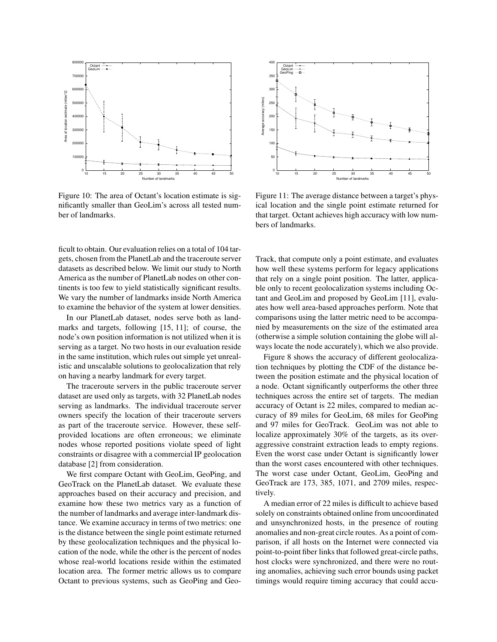

Figure 10: The area of Octant's location estimate is significantly smaller than GeoLim's across all tested number of landmarks.

ficult to obtain. Our evaluation relies on a total of 104 targets, chosen from the PlanetLab and the traceroute server datasets as described below. We limit our study to North America as the number of PlanetLab nodes on other continents is too few to yield statistically significant results. We vary the number of landmarks inside North America to examine the behavior of the system at lower densities.

In our PlanetLab dataset, nodes serve both as landmarks and targets, following [15, 11]; of course, the node's own position information is not utilized when it is serving as a target. No two hosts in our evaluation reside in the same institution, which rules out simple yet unrealistic and unscalable solutions to geolocalization that rely on having a nearby landmark for every target.

The traceroute servers in the public traceroute server dataset are used only as targets, with 32 PlanetLab nodes serving as landmarks. The individual traceroute server owners specify the location of their traceroute servers as part of the traceroute service. However, these selfprovided locations are often erroneous; we eliminate nodes whose reported positions violate speed of light constraints or disagree with a commercial IP geolocation database [2] from consideration.

We first compare Octant with GeoLim, GeoPing, and GeoTrack on the PlanetLab dataset. We evaluate these approaches based on their accuracy and precision, and examine how these two metrics vary as a function of the number of landmarks and average inter-landmark distance. We examine accuracy in terms of two metrics: one is the distance between the single point estimate returned by these geolocalization techniques and the physical location of the node, while the other is the percent of nodes whose real-world locations reside within the estimated location area. The former metric allows us to compare Octant to previous systems, such as GeoPing and Geo-



Figure 11: The average distance between a target's physical location and the single point estimate returned for that target. Octant achieves high accuracy with low numbers of landmarks.

Track, that compute only a point estimate, and evaluates how well these systems perform for legacy applications that rely on a single point position. The latter, applicable only to recent geolocalization systems including Octant and GeoLim and proposed by GeoLim [11], evaluates how well area-based approaches perform. Note that comparisons using the latter metric need to be accompanied by measurements on the size of the estimated area (otherwise a simple solution containing the globe will always locate the node accurately), which we also provide.

Figure 8 shows the accuracy of different geolocalization techniques by plotting the CDF of the distance between the position estimate and the physical location of a node. Octant significantly outperforms the other three techniques across the entire set of targets. The median accuracy of Octant is 22 miles, compared to median accuracy of 89 miles for GeoLim, 68 miles for GeoPing and 97 miles for GeoTrack. GeoLim was not able to localize approximately 30% of the targets, as its overaggressive constraint extraction leads to empty regions. Even the worst case under Octant is significantly lower than the worst cases encountered with other techniques. The worst case under Octant, GeoLim, GeoPing and GeoTrack are 173, 385, 1071, and 2709 miles, respectively.

A median error of 22 miles is difficult to achieve based solely on constraints obtained online from uncoordinated and unsynchronized hosts, in the presence of routing anomalies and non-great circle routes. As a point of comparison, if all hosts on the Internet were connected via point-to-point fiber links that followed great-circle paths, host clocks were synchronized, and there were no routing anomalies, achieving such error bounds using packet timings would require timing accuracy that could accu-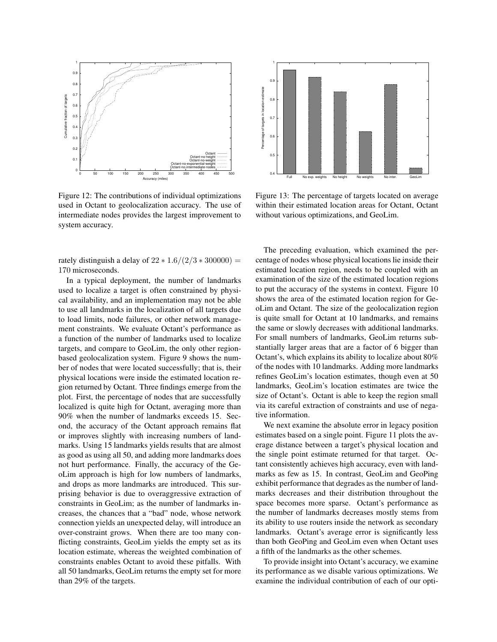

Figure 12: The contributions of individual optimizations used in Octant to geolocalization accuracy. The use of intermediate nodes provides the largest improvement to system accuracy.

rately distinguish a delay of  $22 * 1.6/(2/3 * 300000) =$ 170 microseconds.

In a typical deployment, the number of landmarks used to localize a target is often constrained by physical availability, and an implementation may not be able to use all landmarks in the localization of all targets due to load limits, node failures, or other network management constraints. We evaluate Octant's performance as a function of the number of landmarks used to localize targets, and compare to GeoLim, the only other regionbased geolocalization system. Figure 9 shows the number of nodes that were located successfully; that is, their physical locations were inside the estimated location region returned by Octant. Three findings emerge from the plot. First, the percentage of nodes that are successfully localized is quite high for Octant, averaging more than 90% when the number of landmarks exceeds 15. Second, the accuracy of the Octant approach remains flat or improves slightly with increasing numbers of landmarks. Using 15 landmarks yields results that are almost as good as using all 50, and adding more landmarks does not hurt performance. Finally, the accuracy of the GeoLim approach is high for low numbers of landmarks, and drops as more landmarks are introduced. This surprising behavior is due to overaggressive extraction of constraints in GeoLim; as the number of landmarks increases, the chances that a "bad" node, whose network connection yields an unexpected delay, will introduce an over-constraint grows. When there are too many conflicting constraints, GeoLim yields the empty set as its location estimate, whereas the weighted combination of constraints enables Octant to avoid these pitfalls. With all 50 landmarks, GeoLim returns the empty set for more than 29% of the targets.



Figure 13: The percentage of targets located on average within their estimated location areas for Octant, Octant without various optimizations, and GeoLim.

The preceding evaluation, which examined the percentage of nodes whose physical locations lie inside their estimated location region, needs to be coupled with an examination of the size of the estimated location regions to put the accuracy of the systems in context. Figure 10 shows the area of the estimated location region for GeoLim and Octant. The size of the geolocalization region is quite small for Octant at 10 landmarks, and remains the same or slowly decreases with additional landmarks. For small numbers of landmarks, GeoLim returns substantially larger areas that are a factor of 6 bigger than Octant's, which explains its ability to localize about 80% of the nodes with 10 landmarks. Adding more landmarks refines GeoLim's location estimates, though even at 50 landmarks, GeoLim's location estimates are twice the size of Octant's. Octant is able to keep the region small via its careful extraction of constraints and use of negative information.

We next examine the absolute error in legacy position estimates based on a single point. Figure 11 plots the average distance between a target's physical location and the single point estimate returned for that target. Octant consistently achieves high accuracy, even with landmarks as few as 15. In contrast, GeoLim and GeoPing exhibit performance that degrades as the number of landmarks decreases and their distribution throughout the space becomes more sparse. Octant's performance as the number of landmarks decreases mostly stems from its ability to use routers inside the network as secondary landmarks. Octant's average error is significantly less than both GeoPing and GeoLim even when Octant uses a fifth of the landmarks as the other schemes.

To provide insight into Octant's accuracy, we examine its performance as we disable various optimizations. We examine the individual contribution of each of our opti-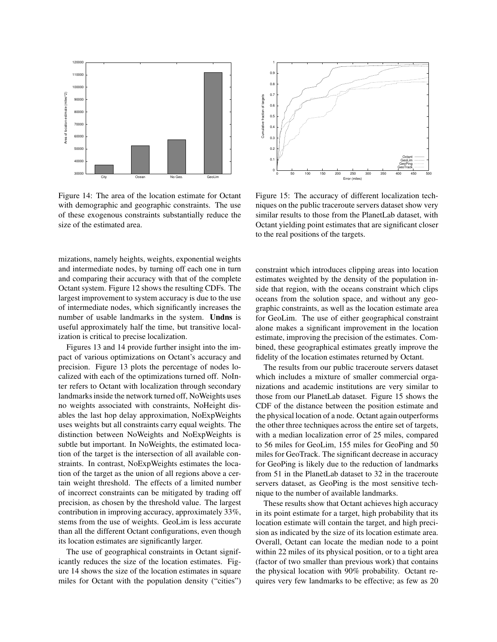

Figure 14: The area of the location estimate for Octant with demographic and geographic constraints. The use of these exogenous constraints substantially reduce the size of the estimated area.



Figure 15: The accuracy of different localization techniques on the public traceroute servers dataset show very similar results to those from the PlanetLab dataset, with Octant yielding point estimates that are significant closer to the real positions of the targets.

mizations, namely heights, weights, exponential weights and intermediate nodes, by turning off each one in turn and comparing their accuracy with that of the complete Octant system. Figure 12 shows the resulting CDFs. The largest improvement to system accuracy is due to the use of intermediate nodes, which significantly increases the number of usable landmarks in the system. **Undns** is useful approximately half the time, but transitive localization is critical to precise localization.

Figures 13 and 14 provide further insight into the impact of various optimizations on Octant's accuracy and precision. Figure 13 plots the percentage of nodes localized with each of the optimizations turned off. NoInter refers to Octant with localization through secondary landmarks inside the network turned off, NoWeights uses no weights associated with constraints, NoHeight disables the last hop delay approximation, NoExpWeights uses weights but all constraints carry equal weights. The distinction between NoWeights and NoExpWeights is subtle but important. In NoWeights, the estimated location of the target is the intersection of all available constraints. In contrast, NoExpWeights estimates the location of the target as the union of all regions above a certain weight threshold. The effects of a limited number of incorrect constraints can be mitigated by trading off precision, as chosen by the threshold value. The largest contribution in improving accuracy, approximately 33%, stems from the use of weights. GeoLim is less accurate than all the different Octant configurations, even though its location estimates are significantly larger.

The use of geographical constraints in Octant significantly reduces the size of the location estimates. Figure 14 shows the size of the location estimates in square miles for Octant with the population density ("cities") constraint which introduces clipping areas into location estimates weighted by the density of the population inside that region, with the oceans constraint which clips oceans from the solution space, and without any geographic constraints, as well as the location estimate area for GeoLim. The use of either geographical constraint alone makes a significant improvement in the location estimate, improving the precision of the estimates. Combined, these geographical estimates greatly improve the fidelity of the location estimates returned by Octant.

The results from our public traceroute servers dataset which includes a mixture of smaller commercial organizations and academic institutions are very similar to those from our PlanetLab dataset. Figure 15 shows the CDF of the distance between the position estimate and the physical location of a node. Octant again outperforms the other three techniques across the entire set of targets, with a median localization error of 25 miles, compared to 56 miles for GeoLim, 155 miles for GeoPing and 50 miles for GeoTrack. The significant decrease in accuracy for GeoPing is likely due to the reduction of landmarks from 51 in the PlanetLab dataset to 32 in the traceroute servers dataset, as GeoPing is the most sensitive technique to the number of available landmarks.

These results show that Octant achieves high accuracy in its point estimate for a target, high probability that its location estimate will contain the target, and high precision as indicated by the size of its location estimate area. Overall, Octant can locate the median node to a point within 22 miles of its physical position, or to a tight area (factor of two smaller than previous work) that contains the physical location with 90% probability. Octant requires very few landmarks to be effective; as few as 20